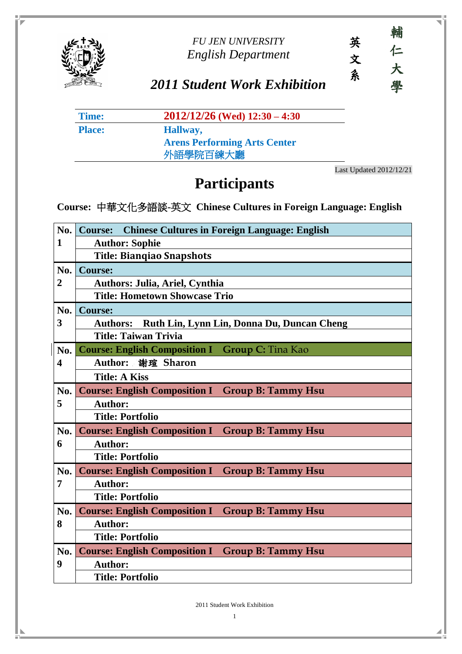

#### *FU JEN UNIVERSITY English Department*



## *2011 Student Work Exhibition*

| Time:         | $2012/12/26$ (Wed) $12:30 - 4:30$   |
|---------------|-------------------------------------|
| <b>Place:</b> | Hallway,                            |
|               | <b>Arens Performing Arts Center</b> |
|               | 外語學院百練大廳                            |

Last Updated 2012/12/21

## **Participants**

**Course:** 中華文化多語談**-**英文 **Chinese Cultures in Foreign Language: English** 

| No.            | <b>Chinese Cultures in Foreign Language: English</b><br><b>Course:</b> |  |  |
|----------------|------------------------------------------------------------------------|--|--|
| 1              | <b>Author: Sophie</b>                                                  |  |  |
|                | <b>Title: Biangiao Snapshots</b>                                       |  |  |
| No.            | <b>Course:</b>                                                         |  |  |
| $\overline{2}$ | Authors: Julia, Ariel, Cynthia                                         |  |  |
|                | <b>Title: Hometown Showcase Trio</b>                                   |  |  |
| No.            | <b>Course:</b>                                                         |  |  |
| 3              | Ruth Lin, Lynn Lin, Donna Du, Duncan Cheng<br><b>Authors:</b>          |  |  |
|                | <b>Title: Taiwan Trivia</b>                                            |  |  |
| No.            | <b>Course: English Composition I Group C: Tina Kao</b>                 |  |  |
| 4              | Author: 謝瑄 Sharon                                                      |  |  |
|                | <b>Title: A Kiss</b>                                                   |  |  |
| No.            | <b>Course: English Composition I Group B: Tammy Hsu</b>                |  |  |
| 5              | <b>Author:</b>                                                         |  |  |
|                | <b>Title: Portfolio</b>                                                |  |  |
| No.            | <b>Course: English Composition I Group B: Tammy Hsu</b>                |  |  |
| 6              | <b>Author:</b>                                                         |  |  |
|                | <b>Title: Portfolio</b>                                                |  |  |
| No.            | <b>Course: English Composition I Group B: Tammy Hsu</b>                |  |  |
| 7              | <b>Author:</b>                                                         |  |  |
|                | <b>Title: Portfolio</b>                                                |  |  |
| No.            | <b>Course: English Composition I</b><br><b>Group B: Tammy Hsu</b>      |  |  |
| 8              | <b>Author:</b>                                                         |  |  |
|                | <b>Title: Portfolio</b>                                                |  |  |
| No.            | <b>Course: English Composition I</b><br><b>Group B: Tammy Hsu</b>      |  |  |
| 9              | <b>Author:</b>                                                         |  |  |
|                | <b>Title: Portfolio</b>                                                |  |  |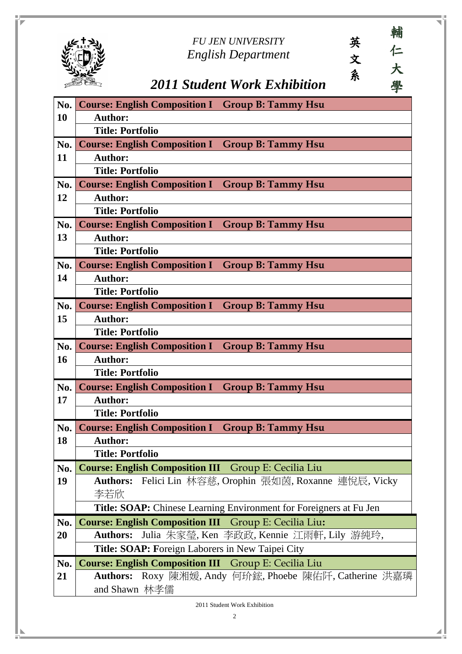|            | 輔<br>英<br><b>FU JEN UNIVERSITY</b><br>仁<br><b>English Department</b><br>文 |
|------------|---------------------------------------------------------------------------|
|            | 大<br>条<br>學<br>2011 Student Work Exhibition                               |
| No.        | <b>Course: English Composition I Group B: Tammy Hsu</b>                   |
| 10         | <b>Author:</b>                                                            |
|            | <b>Title: Portfolio</b>                                                   |
| No.        | <b>Course: English Composition I Group B: Tammy Hsu</b>                   |
| 11         | <b>Author:</b>                                                            |
|            | <b>Title: Portfolio</b>                                                   |
| No.        | <b>Course: English Composition I Group B: Tammy Hsu</b>                   |
| 12         | <b>Author:</b>                                                            |
|            | <b>Title: Portfolio</b>                                                   |
| No.        | <b>Course: English Composition I Group B: Tammy Hsu</b>                   |
| 13         | <b>Author:</b>                                                            |
|            | <b>Title: Portfolio</b>                                                   |
| No.        | <b>Course: English Composition I Group B: Tammy Hsu</b>                   |
| 14         | <b>Author:</b>                                                            |
|            | <b>Title: Portfolio</b>                                                   |
| $\bf{No.}$ | <b>Course: English Composition I Group B: Tammy Hsu</b>                   |
| 15         | <b>Author:</b>                                                            |
|            | <b>Title: Portfolio</b>                                                   |
| No.        | <b>Course: English Composition I Group B: Tammy Hsu</b>                   |
| <b>16</b>  | <b>Author:</b>                                                            |
|            | <b>Title: Portfolio</b>                                                   |
| No.        | <b>Course: English Composition I Group B: Tammy Hsu</b>                   |
| 17         | <b>Author:</b>                                                            |
|            | <b>Title: Portfolio</b>                                                   |
| No.        | <b>Course: English Composition I Group B: Tammy Hsu</b>                   |
| 18         | <b>Author:</b>                                                            |
|            | <b>Title: Portfolio</b>                                                   |
| No.        | <b>Course: English Composition III</b> Group E: Cecilia Liu               |
| 19         | <b>Authors:</b> Felici Lin 林容慈, Orophin 張如茵, Roxanne 連悅辰, Vicky           |
|            | 李若欣                                                                       |
|            | Title: SOAP: Chinese Learning Environment for Foreigners at Fu Jen        |
| No.        | <b>Course: English Composition III</b> Group E: Cecilia Liu:              |
| <b>20</b>  | Authors: Julia 朱家瑩, Ken 李政政, Kennie 江雨軒, Lily 游純玲,                        |
|            | Title: SOAP: Foreign Laborers in New Taipei City                          |
| No.        | <b>Course: English Composition III</b> Group E: Cecilia Liu               |
| 21         | Authors: Roxy 陳湘媛, Andy 何玠鋐, Phoebe 陳佑阡, Catherine 洪嘉璘<br>and Shawn 林孝儒   |
|            | 2011 Student Work Exhibition                                              |

n in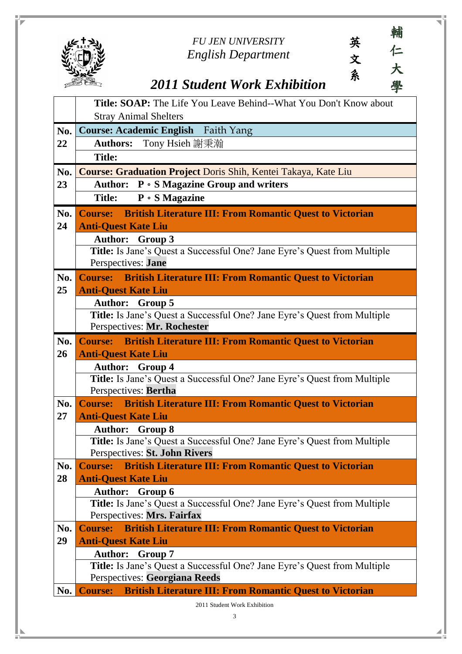#### *FU JEN UNIVERSITY English Department*

英

文

系

# *2011 Student Work Exhibition*

|     | <b>Title: SOAP:</b> The Life You Leave Behind--What You Don't Know about                                  |  |  |
|-----|-----------------------------------------------------------------------------------------------------------|--|--|
|     | <b>Stray Animal Shelters</b>                                                                              |  |  |
| No. | <b>Course: Academic English</b> Faith Yang                                                                |  |  |
| 22  | <b>Authors:</b> Tony Hsieh 謝秉瀚                                                                            |  |  |
|     | <b>Title:</b>                                                                                             |  |  |
| No. | <b>Course: Graduation Project Doris Shih, Kentei Takaya, Kate Liu</b>                                     |  |  |
| 23  | Author: P . S Magazine Group and writers                                                                  |  |  |
|     | $P \circ S$ Magazine<br><b>Title:</b>                                                                     |  |  |
| No. | <b>British Literature III: From Romantic Quest to Victorian</b><br><b>Course:</b>                         |  |  |
| 24  | <b>Anti-Quest Kate Liu</b>                                                                                |  |  |
|     | <b>Author:</b> Group 3                                                                                    |  |  |
|     | Title: Is Jane's Quest a Successful One? Jane Eyre's Quest from Multiple                                  |  |  |
|     | Perspectives: Jane                                                                                        |  |  |
| No. | <b>Course:</b> British Literature III: From Romantic Quest to Victorian                                   |  |  |
| 25  | <b>Anti-Quest Kate Liu</b>                                                                                |  |  |
|     | <b>Author:</b> Group 5                                                                                    |  |  |
|     | Title: Is Jane's Quest a Successful One? Jane Eyre's Quest from Multiple                                  |  |  |
|     | Perspectives: Mr. Rochester                                                                               |  |  |
| No. | <b>British Literature III: From Romantic Quest to Victorian</b><br><b>Course:</b>                         |  |  |
| 26  | <b>Anti-Quest Kate Liu</b>                                                                                |  |  |
|     | <b>Author:</b><br>Group 4                                                                                 |  |  |
|     | Title: Is Jane's Quest a Successful One? Jane Eyre's Quest from Multiple                                  |  |  |
|     | Perspectives: Bertha                                                                                      |  |  |
| No. | <b>Course:</b> British Literature III: From Romantic Quest to Victorian                                   |  |  |
| 27  | <b>Anti-Quest Kate Liu</b>                                                                                |  |  |
|     | <b>Author:</b> Group 8<br><b>Title:</b> Is Jane's Quest a Successful One? Jane Eyre's Quest from Multiple |  |  |
|     | Perspectives: St. John Rivers                                                                             |  |  |
| No. | <b>Course:</b> British Literature III: From Romantic Quest to Victorian                                   |  |  |
| 28  | <b>Anti-Quest Kate Liu</b>                                                                                |  |  |
|     | <b>Author:</b><br>Group 6                                                                                 |  |  |
|     | <b>Title:</b> Is Jane's Quest a Successful One? Jane Eyre's Quest from Multiple                           |  |  |
|     | Perspectives: Mrs. Fairfax                                                                                |  |  |
| No. | <b>Course:</b><br><b>British Literature III: From Romantic Quest to Victorian</b>                         |  |  |
| 29  | <b>Anti-Quest Kate Liu</b>                                                                                |  |  |
|     | <b>Author:</b> Group 7                                                                                    |  |  |
|     | <b>Title:</b> Is Jane's Quest a Successful One? Jane Eyre's Quest from Multiple                           |  |  |
|     | Perspectives: Georgiana Reeds                                                                             |  |  |
| No. | <b>British Literature III: From Romantic Quest to Victorian</b><br><b>Course:</b>                         |  |  |
|     | 2011 Student Work Exhibition                                                                              |  |  |

3